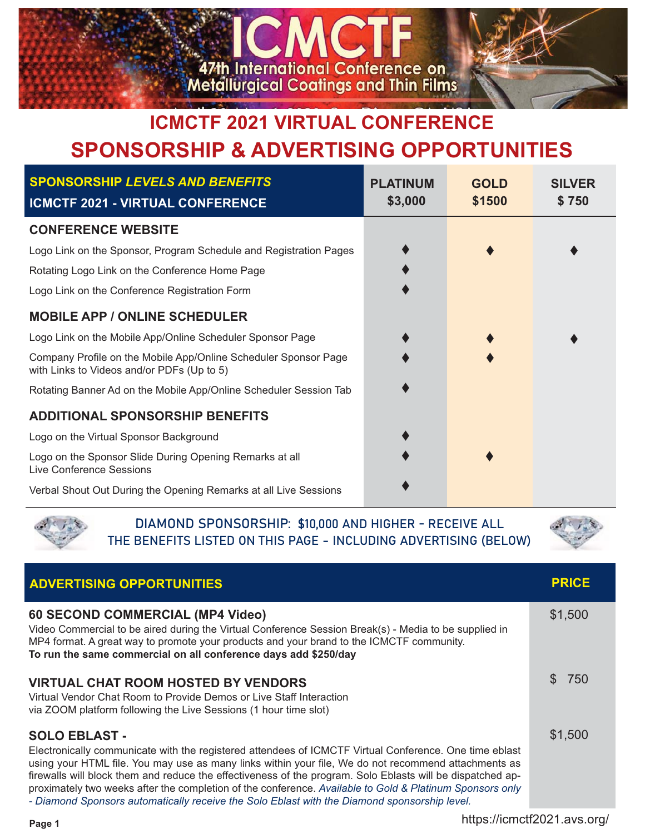

## **ICMCTF 2021 VIRTUAL CONFERENCE SPONSORSHIP & ADVERTISING OPPORTUNITIES**

| <b>SPONSORSHIP LEVELS AND BENEFITS</b><br><b>ICMCTF 2021 - VIRTUAL CONFERENCE</b>                             | <b>PLATINUM</b><br>\$3,000 | <b>GOLD</b><br>\$1500 | <b>SILVER</b><br>\$750 |
|---------------------------------------------------------------------------------------------------------------|----------------------------|-----------------------|------------------------|
| <b>CONFERENCE WEBSITE</b>                                                                                     |                            |                       |                        |
| Logo Link on the Sponsor, Program Schedule and Registration Pages                                             |                            |                       |                        |
| Rotating Logo Link on the Conference Home Page                                                                |                            |                       |                        |
| Logo Link on the Conference Registration Form                                                                 |                            |                       |                        |
| <b>MOBILE APP / ONLINE SCHEDULER</b>                                                                          |                            |                       |                        |
| Logo Link on the Mobile App/Online Scheduler Sponsor Page                                                     |                            |                       |                        |
| Company Profile on the Mobile App/Online Scheduler Sponsor Page<br>with Links to Videos and/or PDFs (Up to 5) |                            |                       |                        |
| Rotating Banner Ad on the Mobile App/Online Scheduler Session Tab                                             |                            |                       |                        |
| <b>ADDITIONAL SPONSORSHIP BENEFITS</b>                                                                        |                            |                       |                        |
| Logo on the Virtual Sponsor Background                                                                        |                            |                       |                        |
| Logo on the Sponsor Slide During Opening Remarks at all<br><b>Live Conference Sessions</b>                    |                            |                       |                        |
| Verbal Shout Out During the Opening Remarks at all Live Sessions                                              |                            |                       |                        |



DIAMOND SPONSORSHIP: \$10,000 AND HIGHER - RECEIVE ALL THE BENEFITS LISTED ON THIS PAGE - INCLUDING ADVERTISING (BELOW)



| <b>ADVERTISING OPPORTUNITIES</b>                                                                                                                                                                                                                                                                                                                                                                                                                                 | <b>PRICE</b> |
|------------------------------------------------------------------------------------------------------------------------------------------------------------------------------------------------------------------------------------------------------------------------------------------------------------------------------------------------------------------------------------------------------------------------------------------------------------------|--------------|
| 60 SECOND COMMERCIAL (MP4 Video)<br>Video Commercial to be aired during the Virtual Conference Session Break(s) - Media to be supplied in<br>MP4 format. A great way to promote your products and your brand to the ICMCTF community.<br>To run the same commercial on all conference days add \$250/day                                                                                                                                                         | \$1,500      |
| <b>VIRTUAL CHAT ROOM HOSTED BY VENDORS</b><br>Virtual Vendor Chat Room to Provide Demos or Live Staff Interaction<br>via ZOOM platform following the Live Sessions (1 hour time slot)                                                                                                                                                                                                                                                                            | \$750        |
| <b>SOLO EBLAST -</b><br>Electronically communicate with the registered attendees of ICMCTF Virtual Conference. One time eblast<br>using your HTML file. You may use as many links within your file, We do not recommend attachments as<br>firewalls will block them and reduce the effectiveness of the program. Solo Eblasts will be dispatched ap-<br>proximately two weeks after the completion of the conference. Available to Gold & Platinum Sponsors only | \$1,500      |

*- Diamond Sponsors automatically receive the Solo Eblast with the Diamond sponsorship level.*